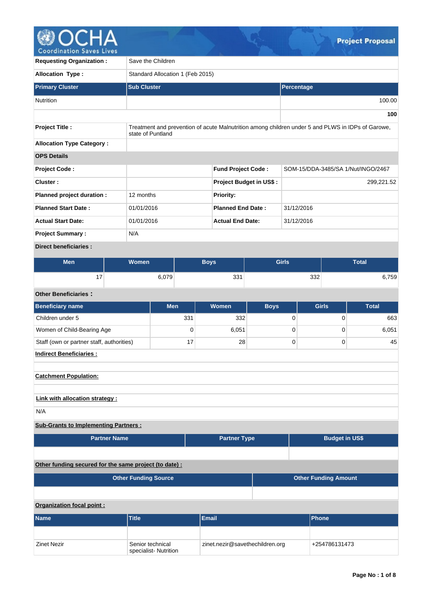

| <b>Requesting Organization:</b>  | Save the Children                |                                                                                                   |                                |              |                                    |  |  |  |  |  |  |
|----------------------------------|----------------------------------|---------------------------------------------------------------------------------------------------|--------------------------------|--------------|------------------------------------|--|--|--|--|--|--|
| <b>Allocation Type:</b>          | Standard Allocation 1 (Feb 2015) |                                                                                                   |                                |              |                                    |  |  |  |  |  |  |
| <b>Primary Cluster</b>           | <b>Sub Cluster</b>               |                                                                                                   | Percentage                     |              |                                    |  |  |  |  |  |  |
| <b>Nutrition</b>                 |                                  |                                                                                                   |                                |              | 100.00                             |  |  |  |  |  |  |
|                                  |                                  |                                                                                                   |                                |              | 100                                |  |  |  |  |  |  |
| <b>Project Title:</b>            | state of Puntland                | Treatment and prevention of acute Malnutrition among children under 5 and PLWS in IDPs of Garowe, |                                |              |                                    |  |  |  |  |  |  |
| <b>Allocation Type Category:</b> |                                  |                                                                                                   |                                |              |                                    |  |  |  |  |  |  |
| <b>OPS Details</b>               |                                  |                                                                                                   |                                |              |                                    |  |  |  |  |  |  |
| <b>Project Code:</b>             |                                  | <b>Fund Project Code:</b>                                                                         |                                |              | SOM-15/DDA-3485/SA 1/Nut/INGO/2467 |  |  |  |  |  |  |
| Cluster:                         |                                  |                                                                                                   | <b>Project Budget in US\$:</b> |              | 299,221.52                         |  |  |  |  |  |  |
| Planned project duration :       | 12 months                        | <b>Priority:</b>                                                                                  |                                |              |                                    |  |  |  |  |  |  |
| <b>Planned Start Date:</b>       | 01/01/2016                       | <b>Planned End Date:</b>                                                                          |                                | 31/12/2016   |                                    |  |  |  |  |  |  |
| <b>Actual Start Date:</b>        | 01/01/2016                       | <b>Actual End Date:</b>                                                                           |                                | 31/12/2016   |                                    |  |  |  |  |  |  |
| <b>Project Summary:</b>          | N/A                              |                                                                                                   |                                |              |                                    |  |  |  |  |  |  |
| <b>Direct beneficiaries:</b>     |                                  |                                                                                                   |                                |              |                                    |  |  |  |  |  |  |
| <b>BALL</b>                      | $M = 100$                        | <b>DALLE</b>                                                                                      |                                | $\sim$ 1.1.1 | エー・エー                              |  |  |  |  |  |  |

| Men | .<br>Vomen   | <b>Rove</b> | Girls | –<br><b>Total</b> |  |  |
|-----|--------------|-------------|-------|-------------------|--|--|
| . – | <b>: ∩70</b> | 331         | 332   | ,759              |  |  |

# **Other Beneficiaries :**

| <b>Beneficiary name</b>                   | <b>Men</b> | <b>Women</b> | <b>Boys</b> | <b>Girls</b> | <b>Total</b> |  |  |  |  |  |
|-------------------------------------------|------------|--------------|-------------|--------------|--------------|--|--|--|--|--|
| Children under 5                          | 331        | 332          |             |              | 663          |  |  |  |  |  |
| Women of Child-Bearing Age                | 0          | 6,051        |             |              | 6,051        |  |  |  |  |  |
| Staff (own or partner staff, authorities) | 17         | 28           |             |              | 45           |  |  |  |  |  |
| <b>Indirect Beneficiaries:</b>            |            |              |             |              |              |  |  |  |  |  |

# **Catchment Population:**

# **Link with allocation strategy :**

N/A

# **Sub-Grants to Implementing Partners :**

| <b>Partner Name</b> | <b>Partner Type</b> | <b>Budget in US\$</b> |
|---------------------|---------------------|-----------------------|
|                     |                     |                       |

# **Other funding secured for the same project (to date) :**

|                           | <b>Other Funding Source</b>              | <b>Other Funding Amount</b>     |  |               |  |  |  |  |  |
|---------------------------|------------------------------------------|---------------------------------|--|---------------|--|--|--|--|--|
|                           |                                          |                                 |  |               |  |  |  |  |  |
| Organization focal point: |                                          |                                 |  |               |  |  |  |  |  |
| <b>Name</b>               | <b>Title</b>                             | Email                           |  | <b>Phone</b>  |  |  |  |  |  |
|                           |                                          |                                 |  |               |  |  |  |  |  |
| <b>Zinet Nezir</b>        | Senior technical<br>specialist-Nutrition | zinet.nezir@savethechildren.org |  | +254786131473 |  |  |  |  |  |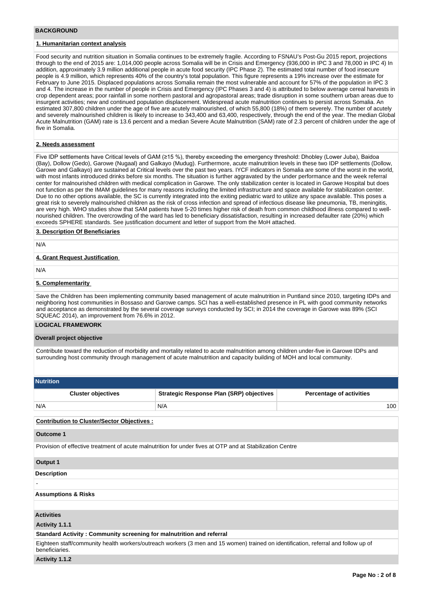#### **BACKGROUND**

## **1. Humanitarian context analysis**

Food security and nutrition situation in Somalia continues to be extremely fragile. According to FSNAU's Post-Gu 2015 report, projections through to the end of 2015 are: 1,014,000 people across Somalia will be in Crisis and Emergency (936,000 in IPC 3 and 78,000 in IPC 4) In addition, approximately 3.9 million additional people in acute food security (IPC Phase 2). The estimated total number of food insecure people is 4.9 million, which represents 40% of the country's total population. This figure represents a 19% increase over the estimate for February to June 2015. Displaced populations across Somalia remain the most vulnerable and account for 57% of the population in IPC 3 and 4. The increase in the number of people in Crisis and Emergency (IPC Phases 3 and 4) is attributed to below average cereal harvests in crop dependent areas; poor rainfall in some northern pastoral and agropastoral areas; trade disruption in some southern urban areas due to insurgent activities; new and continued population displacement. Widespread acute malnutrition continues to persist across Somalia. An estimated 307,800 children under the age of five are acutely malnourished, of which 55,800 (18%) of them severely. The number of acutely and severely malnourished children is likely to increase to 343,400 and 63,400, respectively, through the end of the year. The median Global Acute Malnutrition (GAM) rate is 13.6 percent and a median Severe Acute Malnutrition (SAM) rate of 2.3 percent of children under the age of five in Somalia.

#### **2. Needs assessment**

Five IDP settlements have Critical levels of GAM (≥15 %), thereby exceeding the emergency threshold: Dhobley (Lower Juba), Baidoa (Bay), Dollow (Gedo), Garowe (Nugaal) and Galkayo (Mudug). Furthermore, acute malnutrition levels in these two IDP settlements (Dollow, Garowe and Galkayo) are sustained at Critical levels over the past two years. IYCF indicators in Somalia are some of the worst in the world, with most infants introduced drinks before six months. The situation is further aggravated by the under performance and the week referral center for malnourished children with medical complication in Garowe. The only stabilization center is located in Garowe Hospital but does not function as per the IMAM guidelines for many reasons including the limited infrastructure and space available for stabilization center. Due to no other options available, the SC is currently integrated into the exiting pediatric ward to utilize any space available. This poses a great risk to severely malnourished children as the risk of cross infection and spread of infectious disease like pneumonia, TB, meningitis, are very high. WHO studies show that SAM patients have 5-20 times higher risk of death from common childhood illness compared to wellnourished children. The overcrowding of the ward has led to beneficiary dissatisfaction, resulting in increased defaulter rate (20%) which exceeds SPHERE standards. See justification document and letter of support from the MoH attached.

#### **3. Description Of Beneficiaries**

N/A

### **4. Grant Request Justification**

N/A

#### **5. Complementarity**

Save the Children has been implementing community based management of acute malnutrition in Puntland since 2010, targeting IDPs and neighboring host communities in Bossaso and Garowe camps. SCI has a well-established presence in PL with good community networks and acceptance as demonstrated by the several coverage surveys conducted by SCI; in 2014 the coverage in Garowe was 89% (SCI SQUEAC 2014), an improvement from 76.6% in 2012.

#### **LOGICAL FRAMEWORK**

#### **Overall project objective**

Contribute toward the reduction of morbidity and mortality related to acute malnutrition among children under-five in Garowe IDPs and surrounding host community through management of acute malnutrition and capacity building of MOH and local community.

| <b>Nutrition</b>          |                                          |                                 |  |  |  |  |  |  |  |
|---------------------------|------------------------------------------|---------------------------------|--|--|--|--|--|--|--|
| <b>Cluster objectives</b> | Strategic Response Plan (SRP) objectives | <b>Percentage of activities</b> |  |  |  |  |  |  |  |
| N/A                       | N/A                                      | 100                             |  |  |  |  |  |  |  |

#### **Contribution to Cluster/Sector Objectives :**

#### **Outcome 1**

Provision of effective treatment of acute malnutrition for under fives at OTP and at Stabilization Centre

#### **Output 1**

-

**Description**

#### **Assumptions & Risks**

#### **Activities**

**Activity 1.1.1** 

**Standard Activity : Community screening for malnutrition and referral**

Eighteen staff/community health workers/outreach workers (3 men and 15 women) trained on identification, referral and follow up of beneficiaries.

### **Activity 1.1.2**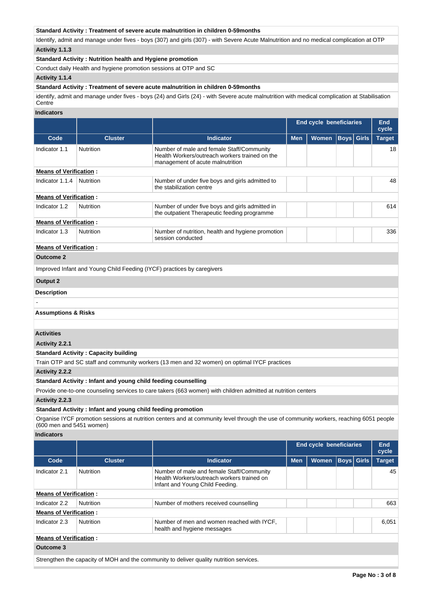## **Standard Activity : Treatment of severe acute malnutrition in children 0-59months**

Identify, admit and manage under fives - boys (307) and girls (307) - with Severe Acute Malnutrition and no medical complication at OTP **Activity 1.1.3** 

#### **Standard Activity : Nutrition health and Hygiene promotion**

Conduct daily Health and hygiene promotion sessions at OTP and SC

## **Activity 1.1.4**

### **Standard Activity : Treatment of severe acute malnutrition in children 0-59months**

identify, admit and manage under fives - boys (24) and Girls (24) - with Severe acute malnutrition with medical complication at Stabilisation **Centre** 

#### **Indicators**

|                               |                                                                        |                                                                                                                                 |            | <b>End cycle beneficiaries</b> | End<br>cycle      |               |
|-------------------------------|------------------------------------------------------------------------|---------------------------------------------------------------------------------------------------------------------------------|------------|--------------------------------|-------------------|---------------|
| Code                          | <b>Cluster</b>                                                         | <b>Indicator</b>                                                                                                                | <b>Men</b> | <b>Women</b>                   | <b>Boys</b> Girls | <b>Target</b> |
| Indicator 1.1                 | <b>Nutrition</b>                                                       | Number of male and female Staff/Community<br>Health Workers/outreach workers trained on the<br>management of acute malnutrition |            |                                |                   | 18            |
| <b>Means of Verification:</b> |                                                                        |                                                                                                                                 |            |                                |                   |               |
| Indicator 1.1.4               | Nutrition                                                              | Number of under five boys and girls admitted to<br>the stabilization centre                                                     |            |                                |                   | 48            |
| <b>Means of Verification:</b> |                                                                        |                                                                                                                                 |            |                                |                   |               |
| Indicator 1.2                 | <b>Nutrition</b>                                                       | Number of under five boys and girls admitted in<br>the outpatient Therapeutic feeding programme                                 |            |                                |                   | 614           |
| <b>Means of Verification:</b> |                                                                        |                                                                                                                                 |            |                                |                   |               |
| Indicator 1.3                 | <b>Nutrition</b>                                                       | Number of nutrition, health and hygiene promotion<br>session conducted                                                          |            |                                |                   | 336           |
| <b>Means of Verification:</b> |                                                                        |                                                                                                                                 |            |                                |                   |               |
| <b>Outcome 2</b>              |                                                                        |                                                                                                                                 |            |                                |                   |               |
|                               | Improved Infant and Young Child Feeding (IYCF) practices by caregivers |                                                                                                                                 |            |                                |                   |               |
| <b>Output 2</b>               |                                                                        |                                                                                                                                 |            |                                |                   |               |
| <b>Description</b>            |                                                                        |                                                                                                                                 |            |                                |                   |               |
|                               |                                                                        |                                                                                                                                 |            |                                |                   |               |

# **Assumptions & Risks**

### **Activities**

## **Activity 2.2.1**

**Standard Activity : Capacity building**

Train OTP and SC staff and community workers (13 men and 32 women) on optimal IYCF practices

**Activity 2.2.2** 

### **Standard Activity : Infant and young child feeding counselling**

Provide one-to-one counseling services to care takers (663 women) with children admitted at nutrition centers

## **Activity 2.2.3**

#### **Standard Activity : Infant and young child feeding promotion**

Organise IYCF promotion sessions at nutrition centers and at community level through the use of community workers, reaching 6051 people (600 men and 5451 women)

**Indicators**

|                               |                  |                                                                                                                            | <b>End cycle beneficiaries</b> |              |  |                   | End<br>cycle  |  |
|-------------------------------|------------------|----------------------------------------------------------------------------------------------------------------------------|--------------------------------|--------------|--|-------------------|---------------|--|
| Code                          | <b>Cluster</b>   | <b>Indicator</b>                                                                                                           | <b>Men</b>                     | <b>Women</b> |  | <b>Boys</b> Girls | <b>Target</b> |  |
| Indicator 2.1                 | <b>Nutrition</b> | Number of male and female Staff/Community<br>Health Workers/outreach workers trained on<br>Infant and Young Child Feeding. |                                |              |  |                   | 45            |  |
| <b>Means of Verification:</b> |                  |                                                                                                                            |                                |              |  |                   |               |  |
| Indicator 2.2                 | <b>Nutrition</b> | Number of mothers received counselling                                                                                     |                                |              |  |                   | 663           |  |
| <b>Means of Verification:</b> |                  |                                                                                                                            |                                |              |  |                   |               |  |
| Indicator 2.3                 | <b>Nutrition</b> | Number of men and women reached with IYCF,<br>health and hygiene messages                                                  |                                |              |  |                   | 6,051         |  |
| <b>Means of Verification:</b> |                  |                                                                                                                            |                                |              |  |                   |               |  |
| Outcome 3                     |                  |                                                                                                                            |                                |              |  |                   |               |  |
|                               |                  | Strengthen the capacity of MOH and the community to deliver quality nutrition services.                                    |                                |              |  |                   |               |  |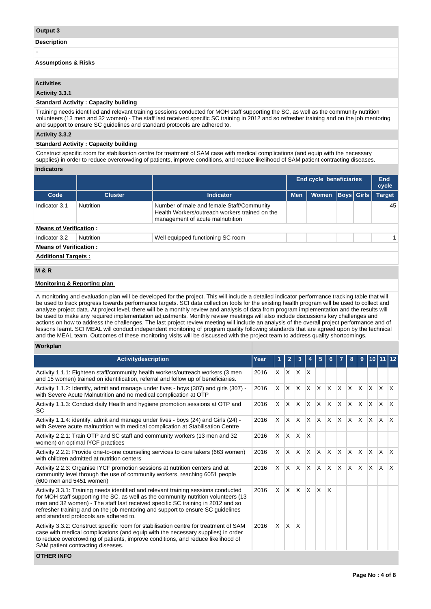### **Output 3**

-

**Description**

#### **Assumptions & Risks**

## **Activities**

#### **Activity 3.3.1**

#### **Standard Activity : Capacity building**

Training needs identified and relevant training sessions conducted for MOH staff supporting the SC, as well as the community nutrition volunteers (13 men and 32 women) - The staff last received specific SC training in 2012 and so refresher training and on the job mentoring and support to ensure SC guidelines and standard protocols are adhered to.

## **Activity 3.3.2**

#### **Standard Activity : Capacity building**

Construct specific room for stabilisation centre for treatment of SAM case with medical complications (and equip with the necessary supplies) in order to reduce overcrowding of patients, improve conditions, and reduce likelihood of SAM patient contracting diseases.

## **Indicators**

|                               |                  |                                                                                                                                 |            | End cycle beneficiaries |  |                   | End<br>cycle  |  |  |
|-------------------------------|------------------|---------------------------------------------------------------------------------------------------------------------------------|------------|-------------------------|--|-------------------|---------------|--|--|
| Code                          | <b>Cluster</b>   | Indicator                                                                                                                       | <b>Men</b> | <b>Women</b>            |  | <b>Boys Girls</b> | <b>Target</b> |  |  |
| Indicator 3.1                 | <b>Nutrition</b> | Number of male and female Staff/Community<br>Health Workers/outreach workers trained on the<br>management of acute malnutrition |            |                         |  |                   | 45            |  |  |
| <b>Means of Verification:</b> |                  |                                                                                                                                 |            |                         |  |                   |               |  |  |
| Indicator 3.2                 | Nutrition        | Well equipped functioning SC room                                                                                               |            |                         |  |                   |               |  |  |
| <b>Means of Verification:</b> |                  |                                                                                                                                 |            |                         |  |                   |               |  |  |
| <b>Additional Targets:</b>    |                  |                                                                                                                                 |            |                         |  |                   |               |  |  |

#### **M & R**

#### **Monitoring & Reporting plan**

A monitoring and evaluation plan will be developed for the project. This will include a detailed indicator performance tracking table that will be used to track progress towards performance targets. SCI data collection tools for the existing health program will be used to collect and analyze project data. At project level, there will be a monthly review and analysis of data from program implementation and the results will be used to make any required implementation adjustments. Monthly review meetings will also include discussions key challenges and actions on how to address the challenges. The last project review meeting will include an analysis of the overall project performance and of lessons learnt. SCI MEAL will conduct independent monitoring of program quality following standards that are agreed upon by the technical and the MEAL team. Outcomes of these monitoring visits will be discussed with the project team to address quality shortcomings.

## **Workplan**

| Year | 1              | $\overline{2}$ | 3                       |                                                                              | 5                                                                             |              |            | 8                          | 9                   | 10                      |                                    |                         |
|------|----------------|----------------|-------------------------|------------------------------------------------------------------------------|-------------------------------------------------------------------------------|--------------|------------|----------------------------|---------------------|-------------------------|------------------------------------|-------------------------|
| 2016 |                |                |                         |                                                                              |                                                                               |              |            |                            |                     |                         |                                    |                         |
| 2016 | X.             |                |                         |                                                                              | <b>X</b>                                                                      |              |            |                            |                     |                         |                                    |                         |
| 2016 | X.             |                |                         |                                                                              | <b>X</b>                                                                      |              |            |                            | <b>X</b>            |                         |                                    | $\mathsf{X}$            |
| 2016 | X.             | <b>X</b>       |                         |                                                                              | IX.                                                                           | ΙX.          |            |                            | <b>X</b>            |                         | IX.                                | $\mathsf{I}\mathsf{X}$  |
| 2016 | X.             |                |                         |                                                                              |                                                                               |              |            |                            |                     |                         |                                    |                         |
| 2016 | X.             | X.             | <b>X</b>                | ΙX.                                                                          | $\mathsf{x}$                                                                  | $\mathsf{x}$ | ΙX         |                            | <b>X</b>            | <b>X</b>                | <b>X</b>                           | $\mathsf{I} \mathsf{X}$ |
| 2016 | X.             | X.             | <b>X</b>                | X.                                                                           | $\mathsf{x}$                                                                  | $\times$     | X          | ΙX.                        | <b>X</b>            |                         | $\times$                           | ΙX.                     |
| 2016 | $\mathsf{X}^-$ | IX.            |                         |                                                                              | $\mathsf{x}$                                                                  | $\mathsf{x}$ |            |                            |                     |                         |                                    |                         |
| 2016 | X.             | $\mathsf{X}$   | $\overline{\mathsf{x}}$ |                                                                              |                                                                               |              |            |                            |                     |                         |                                    |                         |
|      |                |                | lx.<br>ΙX.<br>IX.       | $\mathsf{X}$<br>$\mathsf{X}$<br>$\mathsf{X}$<br>$\mathsf{X}$<br>$\mathsf{X}$ | $X$ $X$ $X$ $X$<br>IX.<br>$\mathsf{X}$<br>$\mathsf{X}$<br>$\mathsf{X}$<br>ΙX. |              | ΙX.<br>ΙX. | Ιx.<br>Ιx.<br>$\mathsf{X}$ | $\mathsf{X}$<br>IX. | $X$ $X$<br>$\mathsf{X}$ | ΙX.<br>IX.<br><b>X</b><br><b>X</b> | $X$ $X$<br>$\mathsf{X}$ |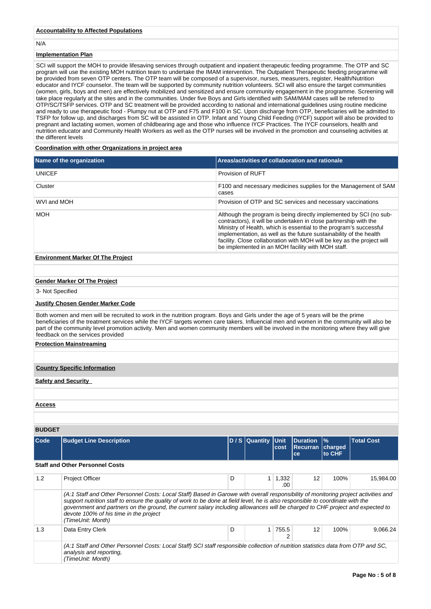## **Accountability to Affected Populations**

N/A

## **Implementation Plan**

SCI will support the MOH to provide lifesaving services through outpatient and inpatient therapeutic feeding programme. The OTP and SC program will use the existing MOH nutrition team to undertake the IMAM intervention. The Outpatient Therapeutic feeding programme will be provided from seven OTP centers. The OTP team will be composed of a supervisor, nurses, measurers, register, Health/Nutrition educator and IYCF counselor. The team will be supported by community nutrition volunteers. SCI will also ensure the target communities (women, girls, boys and men) are effectively mobilized and sensitized and ensure community engagement in the programme. Screening will take place regularly at the sites and in the communities. Under five Boys and Girls identified with SAM/MAM cases will be referred to OTP/SC/TSFP services. OTP and SC treatment will be provided according to national and international guidelines using routine medicine and ready to use therapeutic food - Plumpy nut at OTP and F75 and F100 in SC. Upon discharge from OTP, beneficiaries will be admitted to TSFP for follow up, and discharges from SC will be assisted in OTP. Infant and Young Child Feeding (IYCF) support will also be provided to pregnant and lactating women, women of childbearing age and those who influence IYCF Practices. The IYCF counselors, health and nutrition educator and Community Health Workers as well as the OTP nurses will be involved in the promotion and counseling activities at the different levels

### **Coordination with other Organizations in project area**

|                  | Name of the organization                                                                                                                                                                                                                                                                                                                                                                                                                                              |                                                                                                                                                                                                                                                                                                                                                                                                                    |                  |                       | Areas/activities of collaboration and rationale |                           |                                                                 |  |  |  |
|------------------|-----------------------------------------------------------------------------------------------------------------------------------------------------------------------------------------------------------------------------------------------------------------------------------------------------------------------------------------------------------------------------------------------------------------------------------------------------------------------|--------------------------------------------------------------------------------------------------------------------------------------------------------------------------------------------------------------------------------------------------------------------------------------------------------------------------------------------------------------------------------------------------------------------|------------------|-----------------------|-------------------------------------------------|---------------------------|-----------------------------------------------------------------|--|--|--|
| <b>UNICEF</b>    |                                                                                                                                                                                                                                                                                                                                                                                                                                                                       | Provision of RUFT                                                                                                                                                                                                                                                                                                                                                                                                  |                  |                       |                                                 |                           |                                                                 |  |  |  |
| Cluster          |                                                                                                                                                                                                                                                                                                                                                                                                                                                                       | cases                                                                                                                                                                                                                                                                                                                                                                                                              |                  |                       |                                                 |                           | F100 and necessary medicines supplies for the Management of SAM |  |  |  |
| WVI and MOH      |                                                                                                                                                                                                                                                                                                                                                                                                                                                                       |                                                                                                                                                                                                                                                                                                                                                                                                                    |                  |                       |                                                 |                           | Provision of OTP and SC services and necessary vaccinations     |  |  |  |
| MOH              |                                                                                                                                                                                                                                                                                                                                                                                                                                                                       | Although the program is being directly implemented by SCI (no sub-<br>contractors), it will be undertaken in close partnership with the<br>Ministry of Health, which is essential to the program's successful<br>implementation, as well as the future sustainability of the health<br>facility. Close collaboration with MOH will be key as the project will<br>be implemented in an MOH facility with MOH staff. |                  |                       |                                                 |                           |                                                                 |  |  |  |
|                  | <b>Environment Marker Of The Project</b>                                                                                                                                                                                                                                                                                                                                                                                                                              |                                                                                                                                                                                                                                                                                                                                                                                                                    |                  |                       |                                                 |                           |                                                                 |  |  |  |
|                  |                                                                                                                                                                                                                                                                                                                                                                                                                                                                       |                                                                                                                                                                                                                                                                                                                                                                                                                    |                  |                       |                                                 |                           |                                                                 |  |  |  |
|                  | <b>Gender Marker Of The Project</b>                                                                                                                                                                                                                                                                                                                                                                                                                                   |                                                                                                                                                                                                                                                                                                                                                                                                                    |                  |                       |                                                 |                           |                                                                 |  |  |  |
| 3- Not Specified |                                                                                                                                                                                                                                                                                                                                                                                                                                                                       |                                                                                                                                                                                                                                                                                                                                                                                                                    |                  |                       |                                                 |                           |                                                                 |  |  |  |
|                  | <b>Justify Chosen Gender Marker Code</b>                                                                                                                                                                                                                                                                                                                                                                                                                              |                                                                                                                                                                                                                                                                                                                                                                                                                    |                  |                       |                                                 |                           |                                                                 |  |  |  |
|                  | Both women and men will be recruited to work in the nutrition program. Boys and Girls under the age of 5 years will be the prime<br>beneficiaries of the treatment services while the IYCF targets women care takers. Influencial men and women in the community will also be<br>part of the community level promotion activity. Men and women community members will be involved in the monitoring where they will give<br>feedback on the services provided         |                                                                                                                                                                                                                                                                                                                                                                                                                    |                  |                       |                                                 |                           |                                                                 |  |  |  |
|                  | <b>Protection Mainstreaming</b>                                                                                                                                                                                                                                                                                                                                                                                                                                       |                                                                                                                                                                                                                                                                                                                                                                                                                    |                  |                       |                                                 |                           |                                                                 |  |  |  |
|                  |                                                                                                                                                                                                                                                                                                                                                                                                                                                                       |                                                                                                                                                                                                                                                                                                                                                                                                                    |                  |                       |                                                 |                           |                                                                 |  |  |  |
|                  | <b>Country Specific Information</b>                                                                                                                                                                                                                                                                                                                                                                                                                                   |                                                                                                                                                                                                                                                                                                                                                                                                                    |                  |                       |                                                 |                           |                                                                 |  |  |  |
|                  | <b>Safety and Security</b>                                                                                                                                                                                                                                                                                                                                                                                                                                            |                                                                                                                                                                                                                                                                                                                                                                                                                    |                  |                       |                                                 |                           |                                                                 |  |  |  |
|                  |                                                                                                                                                                                                                                                                                                                                                                                                                                                                       |                                                                                                                                                                                                                                                                                                                                                                                                                    |                  |                       |                                                 |                           |                                                                 |  |  |  |
| <u>Access</u>    |                                                                                                                                                                                                                                                                                                                                                                                                                                                                       |                                                                                                                                                                                                                                                                                                                                                                                                                    |                  |                       |                                                 |                           |                                                                 |  |  |  |
|                  |                                                                                                                                                                                                                                                                                                                                                                                                                                                                       |                                                                                                                                                                                                                                                                                                                                                                                                                    |                  |                       |                                                 |                           |                                                                 |  |  |  |
| <b>BUDGET</b>    |                                                                                                                                                                                                                                                                                                                                                                                                                                                                       |                                                                                                                                                                                                                                                                                                                                                                                                                    |                  |                       |                                                 |                           |                                                                 |  |  |  |
| Code             | <b>Budget Line Description</b>                                                                                                                                                                                                                                                                                                                                                                                                                                        |                                                                                                                                                                                                                                                                                                                                                                                                                    | $D / S$ Quantity | Unit<br>cost          | <b>Duration</b><br><b>Recurran</b><br>ce        | $\%$<br>charged<br>to CHF | <b>Total Cost</b>                                               |  |  |  |
|                  | <b>Staff and Other Personnel Costs</b>                                                                                                                                                                                                                                                                                                                                                                                                                                |                                                                                                                                                                                                                                                                                                                                                                                                                    |                  |                       |                                                 |                           |                                                                 |  |  |  |
| 1.2              | <b>Project Officer</b>                                                                                                                                                                                                                                                                                                                                                                                                                                                | D                                                                                                                                                                                                                                                                                                                                                                                                                  |                  | $1 \mid 1,332$<br>.00 | 12                                              | 100%                      | 15,984.00                                                       |  |  |  |
|                  | (A:1 Staff and Other Personnel Costs: Local Staff) Based in Garowe with overall responsibility of monitoring project activities and<br>support nutrition staff to ensure the quality of work to be done at field level, he is also responsible to coordinate with the<br>government and partners on the ground, the current salary including allowances will be charged to CHF project and expected to<br>devote 100% of his time in the project<br>(TimeUnit: Month) |                                                                                                                                                                                                                                                                                                                                                                                                                    |                  |                       |                                                 |                           |                                                                 |  |  |  |
| 1.3              | Data Entry Clerk                                                                                                                                                                                                                                                                                                                                                                                                                                                      | D                                                                                                                                                                                                                                                                                                                                                                                                                  | 1 <sub>1</sub>   | 755.5<br>2            | 12                                              | 100%                      | 9,066.24                                                        |  |  |  |
|                  | (A:1 Staff and Other Personnel Costs: Local Staff) SCI staff responsible collection of nutrition statistics data from OTP and SC,<br>analysis and reporting,<br>(TimeUnit: Month)                                                                                                                                                                                                                                                                                     |                                                                                                                                                                                                                                                                                                                                                                                                                    |                  |                       |                                                 |                           |                                                                 |  |  |  |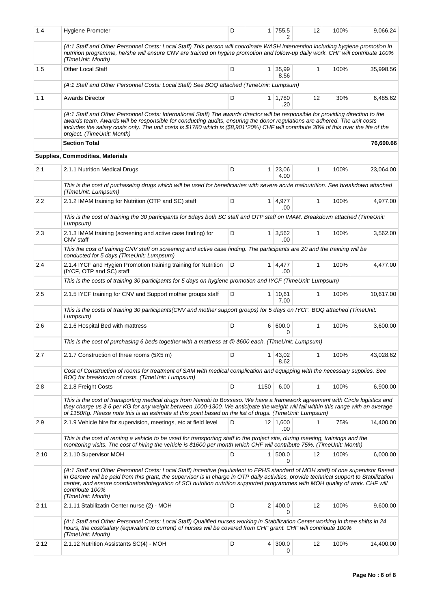| 1.4  | <b>Hygiene Promoter</b>                                                                                                                                                                                                                                                                                                                                                                                                                              | D |                | 1 755.5                | 12           | 100% | 9,066.24  |
|------|------------------------------------------------------------------------------------------------------------------------------------------------------------------------------------------------------------------------------------------------------------------------------------------------------------------------------------------------------------------------------------------------------------------------------------------------------|---|----------------|------------------------|--------------|------|-----------|
|      | (A:1 Staff and Other Personnel Costs: Local Staff) This person will coordinate WASH intervention including hygiene promotion in<br>nutrition programme, he/she will ensure CNV are trained on hygine promotion and follow-up daily work. CHF will contribute 100%<br>(TimeUnit: Month)                                                                                                                                                               |   |                |                        |              |      |           |
| 1.5  | Other Local Staff                                                                                                                                                                                                                                                                                                                                                                                                                                    | D | 1 <sup>1</sup> | 35,99<br>8.56          | $\mathbf{1}$ | 100% | 35,998.56 |
|      | (A:1 Staff and Other Personnel Costs: Local Staff) See BOQ attached (TimeUnit: Lumpsum)                                                                                                                                                                                                                                                                                                                                                              |   |                |                        |              |      |           |
| 1.1  | <b>Awards Director</b>                                                                                                                                                                                                                                                                                                                                                                                                                               | D |                | $1 \mid 1,780$<br>.20  | 12           | 30%  | 6,485.62  |
|      | (A:1 Staff and Other Personnel Costs: International Staff) The awards director will be responsible for providing direction to the<br>awards team. Awards will be responsible for conducting audits, ensuring the donor regulations are adhered. The unit costs<br>includes the salary costs only. The unit costs is \$1780 which is (\$8,901*20%) CHF will contribute 30% of this over the life of the<br>project. (TimeUnit: Month)                 |   |                |                        |              |      |           |
|      | <b>Section Total</b>                                                                                                                                                                                                                                                                                                                                                                                                                                 |   |                |                        |              |      | 76,600.66 |
|      | Supplies, Commodities, Materials                                                                                                                                                                                                                                                                                                                                                                                                                     |   |                |                        |              |      |           |
| 2.1  | 2.1.1 Nutrition Medical Drugs                                                                                                                                                                                                                                                                                                                                                                                                                        | D | 1 <sup>1</sup> | 23,06<br>4.00          | $\mathbf{1}$ | 100% | 23,064.00 |
|      | This is the cost of puchaseing drugs which will be used for beneficiaries with severe acute malnutrition. See breakdown attached<br>(TimeUnit: Lumpsum)                                                                                                                                                                                                                                                                                              |   |                |                        |              |      |           |
| 2.2  | 2.1.2 IMAM training for Nutrition (OTP and SC) staff                                                                                                                                                                                                                                                                                                                                                                                                 | D |                | $1 \mid 4,977$<br>.00. | $\mathbf{1}$ | 100% | 4.977.00  |
|      | This is the cost of training the 30 participants for 5days both SC staff and OTP staff on IMAM. Breakdown attached (TimeUnit:<br>Lumpsum)                                                                                                                                                                                                                                                                                                            |   |                |                        |              |      |           |
| 2.3  | 2.1.3 IMAM training (screening and active case finding) for<br>CNV staff                                                                                                                                                                                                                                                                                                                                                                             | D | $\mathbf{1}$   | 3,562<br>.00           | $\mathbf{1}$ | 100% | 3,562.00  |
|      | This the cost of training CNV staff on screening and active case finding. The participants are 20 and the training will be<br>conducted for 5 days (TimeUnit: Lumpsum)                                                                                                                                                                                                                                                                               |   |                |                        |              |      |           |
| 2.4  | 2.1.4 IYCF and Hygien Promotion training training for Nutrition<br>(IYCF, OTP and SC) staff                                                                                                                                                                                                                                                                                                                                                          | D |                | $1 \mid 4,477$<br>.00  | $\mathbf{1}$ | 100% | 4,477.00  |
|      | This is the costs of training 30 participants for 5 days on hygiene promotion and IYCF (TimeUnit: Lumpsum)                                                                                                                                                                                                                                                                                                                                           |   |                |                        |              |      |           |
| 2.5  | 2.1.5 IYCF training for CNV and Support mother groups staff                                                                                                                                                                                                                                                                                                                                                                                          | D | 1              | 10,61<br>7.00          | $\mathbf{1}$ | 100% | 10,617.00 |
|      | This is the costs of training 30 participants(CNV and mother support groups) for 5 days on IYCF. BOQ attached (TimeUnit:<br>Lumpsum)                                                                                                                                                                                                                                                                                                                 |   |                |                        |              |      |           |
| 2.6  | 2.1.6 Hospital Bed with mattress                                                                                                                                                                                                                                                                                                                                                                                                                     | D |                | 6   600.0<br>0         | $\mathbf{1}$ | 100% | 3,600.00  |
|      | This is the cost of purchasing 6 beds together with a mattress at @ \$600 each. (TimeUnit: Lumpsum)                                                                                                                                                                                                                                                                                                                                                  |   |                |                        |              |      |           |
| 2.7  | 2.1.7 Construction of three rooms (5X5 m)                                                                                                                                                                                                                                                                                                                                                                                                            | D | 1 <sup>1</sup> | 43,02<br>8.62          | $\mathbf{1}$ | 100% | 43,028.62 |
|      | Cost of Construction of rooms for treatment of SAM with medical complication and equipping with the necessary supplies. See<br>BOQ for breakdown of costs. (TimeUnit: Lumpsum)                                                                                                                                                                                                                                                                       |   |                |                        |              |      |           |
| 2.8  | 2.1.8 Freight Costs                                                                                                                                                                                                                                                                                                                                                                                                                                  | D | 1150           | 6.00                   | 1            | 100% | 6,900.00  |
|      | This is the cost of transporting medical drugs from Nairobi to Bossaso. We have a framework agreement with Circle logistics and<br>they charge us \$6 per KG for any weight between 1000-1300. We anticipate the weight will fall within this range with an average<br>of 1150Kg. Please note this is an estimate at this point based on the list of drugs. (TimeUnit: Lumpsum)                                                                      |   |                |                        |              |      |           |
| 2.9  | 2.1.9 Vehicle hire for supervision, meetings, etc at field level                                                                                                                                                                                                                                                                                                                                                                                     | D |                | 12 1,600<br>.00        | 1            | 75%  | 14,400.00 |
|      | This is the cost of renting a vehicle to be used for transporting staff to the project site, during meeting, trainings and the<br>monitoring visits. The cost of hiring the vehicle is \$1600 per month which CHF will contribute 75%. (TimeUnit: Month)                                                                                                                                                                                             |   |                |                        |              |      |           |
| 2.10 | 2.1.10 Supervisor MOH                                                                                                                                                                                                                                                                                                                                                                                                                                | D | 1              | 500.0<br>0             | 12           | 100% | 6,000.00  |
|      | (A:1 Staff and Other Personnel Costs: Local Staff) incentive (equivalent to EPHS standard of MOH staff) of one supervisor Based<br>in Garowe will be paid from this grant, the supervisor is in charge in OTP daily activities, provide technical support to Stabilization<br>center, and ensure coordination/integration of SCI nutrition nutrition supported programmes with MOH quality of work. CHF will<br>contribute 100%<br>(TimeUnit: Month) |   |                |                        |              |      |           |
| 2.11 | 2.1.11 Stabilizatin Center nurse (2) - MOH                                                                                                                                                                                                                                                                                                                                                                                                           | D |                | 2 400.0<br>0           | 12           | 100% | 9,600.00  |
|      | (A:1 Staff and Other Personnel Costs: Local Staff) Qualified nurses working in Stabilization Center working in three shifts in 24<br>hours, the cost/salary (equivalent to current) of nurses will be covered from CHF grant. CHF will contribute 100%<br>(TimeUnit: Month)                                                                                                                                                                          |   |                |                        |              |      |           |
| 2.12 | 2.1.12 Nutrition Assistants SC(4) - MOH                                                                                                                                                                                                                                                                                                                                                                                                              | D | 4              | 300.0<br>0             | 12           | 100% | 14,400.00 |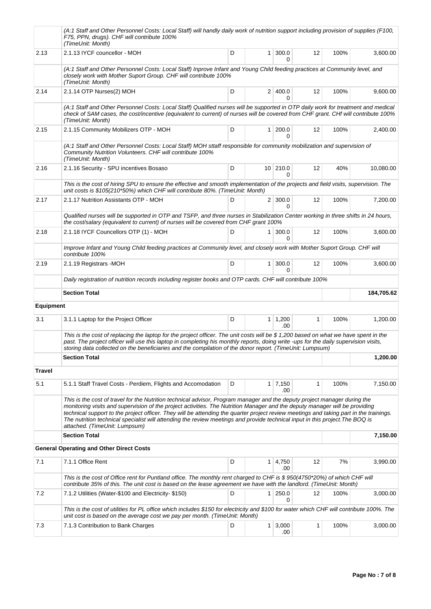|                  | (A:1 Staff and Other Personnel Costs: Local Staff) will handly daily work of nutrition support including provision of supplies (F100,<br>F75, PPN, drugs). CHF will contribute 100%<br>(TimeUnit: Month)                                                                                                                                                                                                                                                                                                                                                             |   |                |                          |    |      |            |
|------------------|----------------------------------------------------------------------------------------------------------------------------------------------------------------------------------------------------------------------------------------------------------------------------------------------------------------------------------------------------------------------------------------------------------------------------------------------------------------------------------------------------------------------------------------------------------------------|---|----------------|--------------------------|----|------|------------|
| 2.13             | 2.1.13 IYCF councellor - MOH                                                                                                                                                                                                                                                                                                                                                                                                                                                                                                                                         | D | $\mathbf{1}$   | 300.0<br>0               | 12 | 100% | 3,600.00   |
|                  | (A:1 Staff and Other Personnel Costs: Local Staff) Inprove Infant and Young Child feeding practices at Community level, and<br>closely work with Mother Suport Group. CHF will contribute 100%<br>(TimeUnit: Month)                                                                                                                                                                                                                                                                                                                                                  |   |                |                          |    |      |            |
| 2.14             | 2.1.14 OTP Nurses(2) MOH                                                                                                                                                                                                                                                                                                                                                                                                                                                                                                                                             | D |                | 2 400.0                  | 12 | 100% | 9,600.00   |
|                  | (A:1 Staff and Other Personnel Costs: Local Staff) Qualified nurses will be supported in OTP daily work for treatment and medical<br>check of SAM cases, the cost/incentive (equivalent to current) of nurses will be covered from CHF grant. CHf will contribute 100%<br>(TimeUnit: Month)                                                                                                                                                                                                                                                                          |   |                |                          |    |      |            |
| 2.15             | 2.1.15 Community Mobilizers OTP - MOH                                                                                                                                                                                                                                                                                                                                                                                                                                                                                                                                | D | $\mathbf{1}$   | 200.0<br>0               | 12 | 100% | 2,400.00   |
|                  | (A:1 Staff and Other Personnel Costs: Local Staff) MOH sttaff responsible for community mobilization and supervision of<br>Community Nutrition Volunteers. CHF will contribute 100%<br>(TimeUnit: Month)                                                                                                                                                                                                                                                                                                                                                             |   |                |                          |    |      |            |
| 2.16             | 2.1.16 Security - SPU incentives Bosaso                                                                                                                                                                                                                                                                                                                                                                                                                                                                                                                              | D |                | 10 210.0<br><sup>0</sup> | 12 | 40%  | 10,080.00  |
|                  | This is the cost of hiring SPU to ensure the effective and smooth implementation of the projects and field visits, supervision. The<br>unit costs is \$105(210*50%) which CHF will contribute 80%. (TimeUnit: Month)                                                                                                                                                                                                                                                                                                                                                 |   |                |                          |    |      |            |
| 2.17             | 2.1.17 Nutrition Assistants OTP - MOH                                                                                                                                                                                                                                                                                                                                                                                                                                                                                                                                | D |                | $2 \mid 300.0$<br>0      | 12 | 100% | 7.200.00   |
|                  | Qualified nurses will be supported in OTP and TSFP, and three nurses in Stabilization Center working in three shifts in 24 hours,<br>the cost/salary (equivalent to current) of nurses will be covered from CHF grant 100%                                                                                                                                                                                                                                                                                                                                           |   |                |                          |    |      |            |
| 2.18             | 2.1.18 IYCF Councellors OTP (1) - MOH                                                                                                                                                                                                                                                                                                                                                                                                                                                                                                                                | D | 1 <sup>1</sup> | 300.0<br>U               | 12 | 100% | 3,600.00   |
|                  | Improve Infant and Young Child feeding practices at Community level, and closely work with Mother Suport Group. CHF will<br>contribute 100%                                                                                                                                                                                                                                                                                                                                                                                                                          |   |                |                          |    |      |            |
| 2.19             | 2.1.19 Registrars - MOH                                                                                                                                                                                                                                                                                                                                                                                                                                                                                                                                              | D | $\mathbf{1}$   | 300.0<br>0               | 12 | 100% | 3,600.00   |
|                  | Daily registration of nutrition records including register books and OTP cards. CHF will contribute 100%                                                                                                                                                                                                                                                                                                                                                                                                                                                             |   |                |                          |    |      |            |
|                  | <b>Section Total</b>                                                                                                                                                                                                                                                                                                                                                                                                                                                                                                                                                 |   |                |                          |    |      | 184,705.62 |
| <b>Equipment</b> |                                                                                                                                                                                                                                                                                                                                                                                                                                                                                                                                                                      |   |                |                          |    |      |            |
| 3.1              | 3.1.1 Laptop for the Project Officer                                                                                                                                                                                                                                                                                                                                                                                                                                                                                                                                 | D | 1              | 1,200<br>.00             | 1  | 100% | 1,200.00   |
|                  | This is the cost of replacing the laptop for the project officer. The unit costs will be \$ 1,200 based on what we have spent in the<br>past. The project officer will use this laptop in completing his monthly reports, doing write -ups for the daily supervision visits,<br>storing data collected on the beneficiaries and the compilation of the donor report. (TimeUnit: Lumpsum)                                                                                                                                                                             |   |                |                          |    |      |            |
|                  | <b>Section Total</b>                                                                                                                                                                                                                                                                                                                                                                                                                                                                                                                                                 |   |                |                          |    |      | 1,200.00   |
| <b>Travel</b>    |                                                                                                                                                                                                                                                                                                                                                                                                                                                                                                                                                                      |   |                |                          |    |      |            |
| 5.1              | 5.1.1 Staff Travel Costs - Perdiem, Flights and Accomodation                                                                                                                                                                                                                                                                                                                                                                                                                                                                                                         | D |                | $1 \mid 7,150$<br>.00    | 1  | 100% | 7,150.00   |
|                  | This is the cost of travel for the Nutrition technical advisor, Program manager and the deputy project manager during the<br>monitoring visits and supervision of the project activities. The Nutrition Manager and the deputy manager will be providing<br>technical support to the project officer. They will be attending the quarter project review meetings and taking part in the trainings.<br>The nutrition technical specialist will attending the review meetings and provide technical input in this project. The BOQ is<br>attached. (TimeUnit: Lumpsum) |   |                |                          |    |      |            |
|                  | <b>Section Total</b>                                                                                                                                                                                                                                                                                                                                                                                                                                                                                                                                                 |   |                |                          |    |      | 7,150.00   |
|                  | <b>General Operating and Other Direct Costs</b>                                                                                                                                                                                                                                                                                                                                                                                                                                                                                                                      |   |                |                          |    |      |            |
| 7.1              | 7.1.1 Office Rent                                                                                                                                                                                                                                                                                                                                                                                                                                                                                                                                                    | D | 1              | 4,750<br>.00             | 12 | 7%   | 3,990.00   |
|                  | This is the cost of Office rent for Puntland office. The monthly rent charged to CHF is \$950(4750*20%) of which CHF will<br>contribute 35% of this. The unit cost is based on the lease agreement we have with the landlord. (TimeUnit: Month)                                                                                                                                                                                                                                                                                                                      |   |                |                          |    |      |            |
| 7.2              | 7.1.2 Utilities (Water-\$100 and Electricity-\$150)                                                                                                                                                                                                                                                                                                                                                                                                                                                                                                                  | D | 1              | 250.0<br>0               | 12 | 100% | 3,000.00   |
|                  | This is the cost of utilities for PL office which includes \$150 for electricity and \$100 for water which CHF will contribute 100%. The<br>unit cost is based on the average cost we pay per month. (TimeUnit: Month)                                                                                                                                                                                                                                                                                                                                               |   |                |                          |    |      |            |
| 7.3              | 7.1.3 Contribution to Bank Charges                                                                                                                                                                                                                                                                                                                                                                                                                                                                                                                                   | D | 1 <sup>1</sup> | 3,000<br>.00             | 1  | 100% | 3,000.00   |